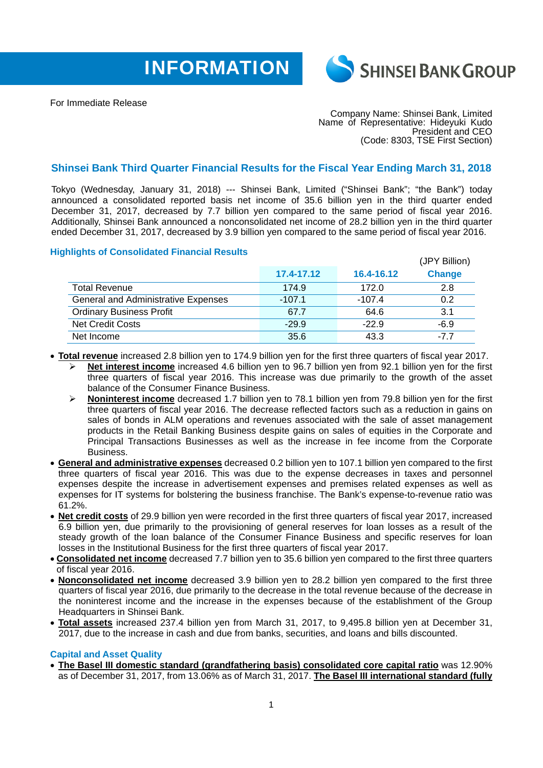



For Immediate Release

Company Name: Shinsei Bank, Limited Name of Representative: Hideyuki Kudo President and CEO (Code: 8303, TSE First Section)

## **Shinsei Bank Third Quarter Financial Results for the Fiscal Year Ending March 31, 2018**

Tokyo (Wednesday, January 31, 2018) --- Shinsei Bank, Limited ("Shinsei Bank"; "the Bank") today announced a consolidated reported basis net income of 35.6 billion yen in the third quarter ended December 31, 2017, decreased by 7.7 billion yen compared to the same period of fiscal year 2016. Additionally, Shinsei Bank announced a nonconsolidated net income of 28.2 billion yen in the third quarter ended December 31, 2017, decreased by 3.9 billion yen compared to the same period of fiscal year 2016.

## **Highlights of Consolidated Financial Results**

|                                            |            |            | (JPY Billion) |
|--------------------------------------------|------------|------------|---------------|
|                                            | 17.4-17.12 | 16.4-16.12 | <b>Change</b> |
| <b>Total Revenue</b>                       | 174.9      | 172.0      | 2.8           |
| <b>General and Administrative Expenses</b> | $-107.1$   | $-107.4$   | 0.2           |
| <b>Ordinary Business Profit</b>            | 67.7       | 64.6       | 3.1           |
| <b>Net Credit Costs</b>                    | $-29.9$    | $-22.9$    | $-6.9$        |
| Net Income                                 | 35.6       | 43.3       | -7 7          |

- **Total revenue** increased 2.8 billion yen to 174.9 billion yen for the first three quarters of fiscal year 2017.
	- **Net interest income** increased 4.6 billion yen to 96.7 billion yen from 92.1 billion yen for the first three quarters of fiscal year 2016. This increase was due primarily to the growth of the asset balance of the Consumer Finance Business.
	- **Noninterest income** decreased 1.7 billion yen to 78.1 billion yen from 79.8 billion yen for the first three quarters of fiscal year 2016. The decrease reflected factors such as a reduction in gains on sales of bonds in ALM operations and revenues associated with the sale of asset management products in the Retail Banking Business despite gains on sales of equities in the Corporate and Principal Transactions Businesses as well as the increase in fee income from the Corporate Business.
- **General and administrative expenses** decreased 0.2 billion yen to 107.1 billion yen compared to the first three quarters of fiscal year 2016. This was due to the expense decreases in taxes and personnel expenses despite the increase in advertisement expenses and premises related expenses as well as expenses for IT systems for bolstering the business franchise. The Bank's expense-to-revenue ratio was 61.2%.
- **Net credit costs** of 29.9 billion yen were recorded in the first three quarters of fiscal year 2017, increased 6.9 billion yen, due primarily to the provisioning of general reserves for loan losses as a result of the steady growth of the loan balance of the Consumer Finance Business and specific reserves for loan losses in the Institutional Business for the first three quarters of fiscal year 2017.
- **Consolidated net income** decreased 7.7 billion yen to 35.6 billion yen compared to the first three quarters of fiscal year 2016.
- **Nonconsolidated net income** decreased 3.9 billion yen to 28.2 billion yen compared to the first three quarters of fiscal year 2016, due primarily to the decrease in the total revenue because of the decrease in the noninterest income and the increase in the expenses because of the establishment of the Group Headquarters in Shinsei Bank.
- **Total assets** increased 237.4 billion yen from March 31, 2017, to 9,495.8 billion yen at December 31, 2017, due to the increase in cash and due from banks, securities, and loans and bills discounted.

## **Capital and Asset Quality**

 **The Basel III domestic standard (grandfathering basis) consolidated core capital ratio** was 12.90% as of December 31, 2017, from 13.06% as of March 31, 2017. **The Basel III international standard (fully**